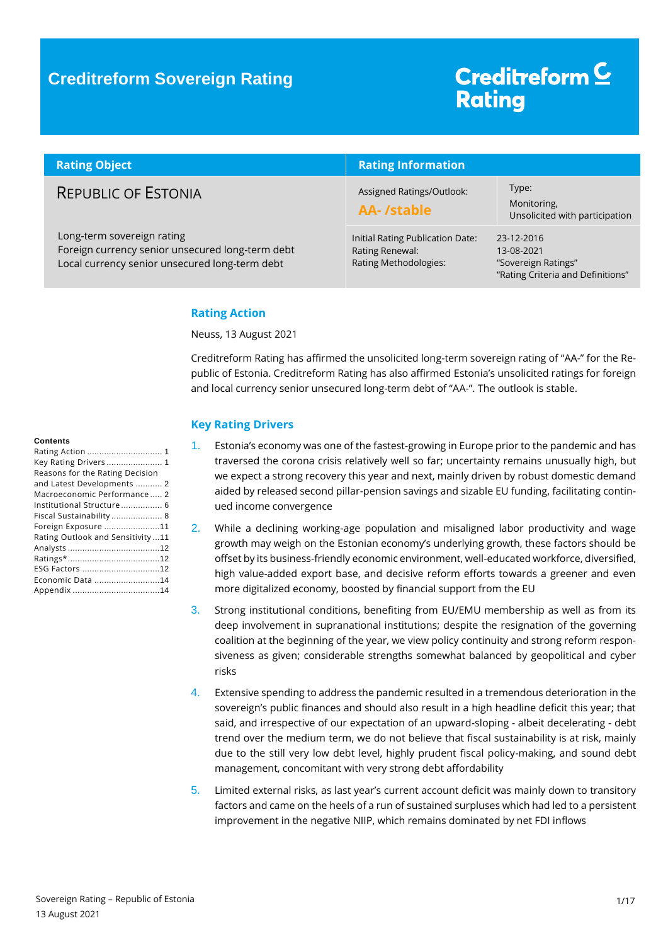### **Creditreform Sovereign Rating**

# Creditreform<sup>C</sup> **Rating**

| <b>Rating Object</b>                                                                                                             | <b>Rating Information</b>                                                    |                                                                                      |  |
|----------------------------------------------------------------------------------------------------------------------------------|------------------------------------------------------------------------------|--------------------------------------------------------------------------------------|--|
| <b>REPUBLIC OF ESTONIA</b>                                                                                                       | Assigned Ratings/Outlook:<br>AA-/stable                                      | Type:<br>Monitoring,<br>Unsolicited with participation                               |  |
| Long-term sovereign rating<br>Foreign currency senior unsecured long-term debt<br>Local currency senior unsecured long-term debt | Initial Rating Publication Date:<br>Rating Renewal:<br>Rating Methodologies: | 23-12-2016<br>13-08-2021<br>"Sovereign Ratings"<br>"Rating Criteria and Definitions" |  |

#### <span id="page-0-0"></span>**Rating Action**

Neuss, 13 August 2021

Creditreform Rating has affirmed the unsolicited long-term sovereign rating of "AA-" for the Republic of Estonia. Creditreform Rating has also affirmed Estonia's unsolicited ratings for foreign and local currency senior unsecured long-term debt of "AA-". The outlook is stable.

#### <span id="page-0-1"></span>**Key Rating Drivers**

- 1. Estonia's economy was one of the fastest-growing in Europe prior to the pandemic and has traversed the corona crisis relatively well so far; uncertainty remains unusually high, but we expect a strong recovery this year and next, mainly driven by robust domestic demand aided by released second pillar-pension savings and sizable EU funding, facilitating continued income convergence
- 2. While a declining working-age population and misaligned labor productivity and wage growth may weigh on the Estonian economy's underlying growth, these factors should be offset by its business-friendly economic environment, well-educated workforce, diversified, high value-added export base, and decisive reform efforts towards a greener and even more digitalized economy, boosted by financial support from the EU
- 3. Strong institutional conditions, benefiting from EU/EMU membership as well as from its deep involvement in supranational institutions; despite the resignation of the governing coalition at the beginning of the year, we view policy continuity and strong reform responsiveness as given; considerable strengths somewhat balanced by geopolitical and cyber risks
- 4. Extensive spending to address the pandemic resulted in a tremendous deterioration in the sovereign's public finances and should also result in a high headline deficit this year; that said, and irrespective of our expectation of an upward-sloping - albeit decelerating - debt trend over the medium term, we do not believe that fiscal sustainability is at risk, mainly due to the still very low debt level, highly prudent fiscal policy-making, and sound debt management, concomitant with very strong debt affordability
- 5. Limited external risks, as last year's current account deficit was mainly down to transitory factors and came on the heels of a run of sustained surpluses which had led to a persistent improvement in the negative NIIP, which remains dominated by net FDI inflows

#### **Contents**

| Key Rating Drivers  1            |  |
|----------------------------------|--|
| Reasons for the Rating Decision  |  |
| and Latest Developments  2       |  |
| Macroeconomic Performance 2      |  |
| Institutional Structure  6       |  |
| Fiscal Sustainability  8         |  |
| Foreign Exposure 11              |  |
| Rating Outlook and Sensitivity11 |  |
|                                  |  |
|                                  |  |
| ESG Factors 12                   |  |
| Economic Data 14                 |  |
|                                  |  |
|                                  |  |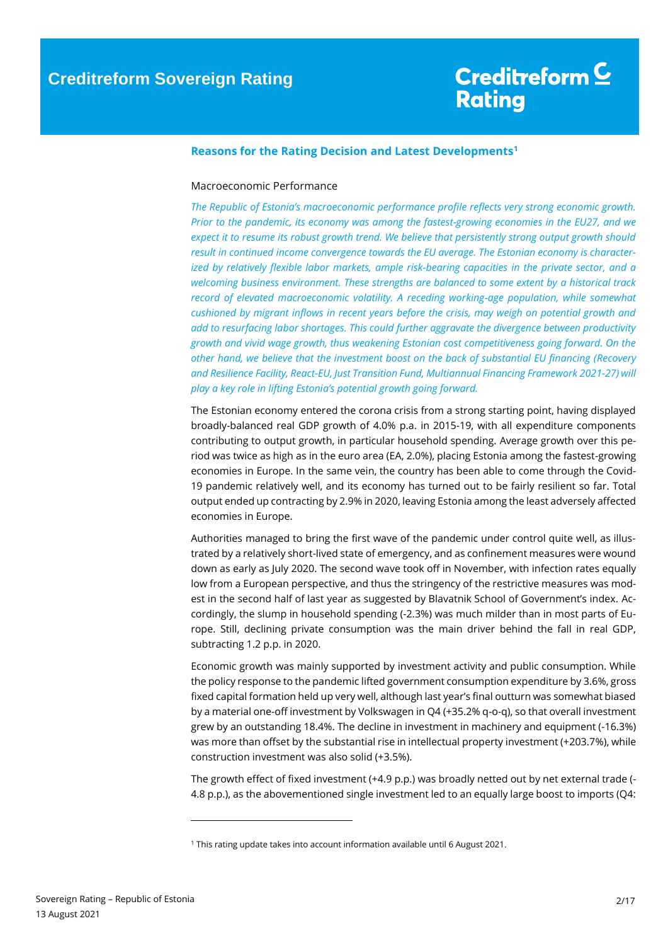## Creditreform C **Rating**

#### <span id="page-1-0"></span>**Reasons for the Rating Decision and Latest Developments<sup>1</sup>**

#### <span id="page-1-1"></span>Macroeconomic Performance

*The Republic of Estonia's macroeconomic performance profile reflects very strong economic growth. Prior to the pandemic, its economy was among the fastest-growing economies in the EU27, and we expect it to resume its robust growth trend. We believe that persistently strong output growth should result in continued income convergence towards the EU average. The Estonian economy is characterized by relatively flexible labor markets, ample risk-bearing capacities in the private sector, and a welcoming business environment. These strengths are balanced to some extent by a historical track record of elevated macroeconomic volatility. A receding working-age population, while somewhat cushioned by migrant inflows in recent years before the crisis, may weigh on potential growth and add to resurfacing labor shortages. This could further aggravate the divergence between productivity growth and vivid wage growth, thus weakening Estonian cost competitiveness going forward. On the other hand, we believe that the investment boost on the back of substantial EU financing (Recovery and Resilience Facility, React-EU, Just Transition Fund, Multiannual Financing Framework 2021-27) will play a key role in lifting Estonia's potential growth going forward.*

The Estonian economy entered the corona crisis from a strong starting point, having displayed broadly-balanced real GDP growth of 4.0% p.a. in 2015-19, with all expenditure components contributing to output growth, in particular household spending. Average growth over this period was twice as high as in the euro area (EA, 2.0%), placing Estonia among the fastest-growing economies in Europe. In the same vein, the country has been able to come through the Covid-19 pandemic relatively well, and its economy has turned out to be fairly resilient so far. Total output ended up contracting by 2.9% in 2020, leaving Estonia among the least adversely affected economies in Europe.

Authorities managed to bring the first wave of the pandemic under control quite well, as illustrated by a relatively short-lived state of emergency, and as confinement measures were wound down as early as July 2020. The second wave took off in November, with infection rates equally low from a European perspective, and thus the stringency of the restrictive measures was modest in the second half of last year as suggested by Blavatnik School of Government's index. Accordingly, the slump in household spending (-2.3%) was much milder than in most parts of Europe. Still, declining private consumption was the main driver behind the fall in real GDP, subtracting 1.2 p.p. in 2020.

Economic growth was mainly supported by investment activity and public consumption. While the policy response to the pandemic lifted government consumption expenditure by 3.6%, gross fixed capital formation held up very well, although last year's final outturn was somewhat biased by a material one-off investment by Volkswagen in Q4 (+35.2% q-o-q), so that overall investment grew by an outstanding 18.4%. The decline in investment in machinery and equipment (-16.3%) was more than offset by the substantial rise in intellectual property investment (+203.7%), while construction investment was also solid (+3.5%).

The growth effect of fixed investment (+4.9 p.p.) was broadly netted out by net external trade (- 4.8 p.p.), as the abovementioned single investment led to an equally large boost to imports (Q4:

 $\overline{a}$ 

<sup>1</sup> This rating update takes into account information available until 6 August 2021.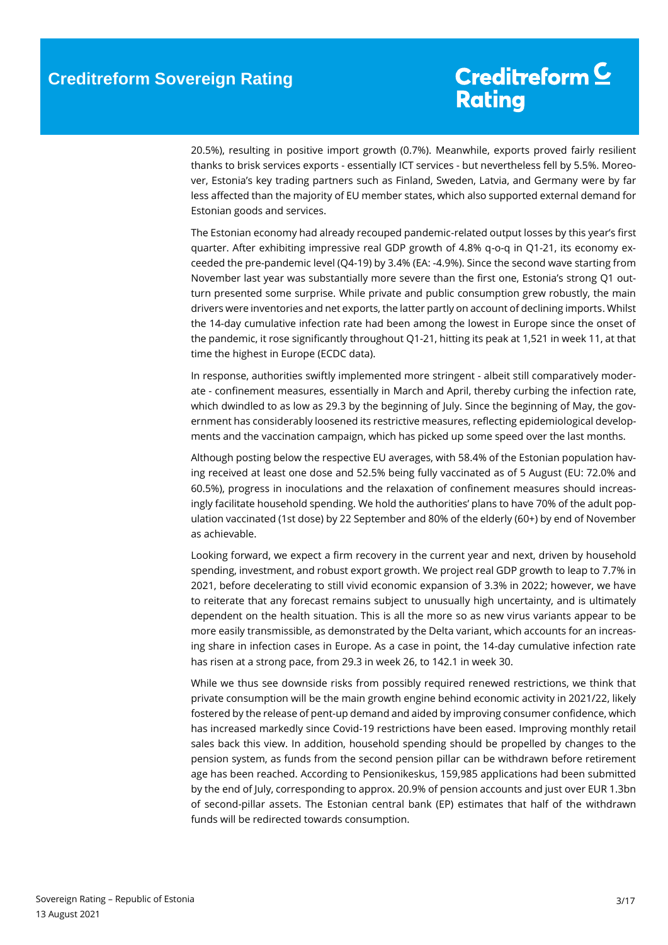20.5%), resulting in positive import growth (0.7%). Meanwhile, exports proved fairly resilient thanks to brisk services exports - essentially ICT services - but nevertheless fell by 5.5%. Moreover, Estonia's key trading partners such as Finland, Sweden, Latvia, and Germany were by far less affected than the majority of EU member states, which also supported external demand for Estonian goods and services.

The Estonian economy had already recouped pandemic-related output losses by this year's first quarter. After exhibiting impressive real GDP growth of 4.8% q-o-q in Q1-21, its economy exceeded the pre-pandemic level (Q4-19) by 3.4% (EA: -4.9%). Since the second wave starting from November last year was substantially more severe than the first one, Estonia's strong Q1 outturn presented some surprise. While private and public consumption grew robustly, the main drivers were inventories and net exports, the latter partly on account of declining imports. Whilst the 14-day cumulative infection rate had been among the lowest in Europe since the onset of the pandemic, it rose significantly throughout Q1-21, hitting its peak at 1,521 in week 11, at that time the highest in Europe (ECDC data).

In response, authorities swiftly implemented more stringent - albeit still comparatively moderate - confinement measures, essentially in March and April, thereby curbing the infection rate, which dwindled to as low as 29.3 by the beginning of July. Since the beginning of May, the government has considerably loosened its restrictive measures, reflecting epidemiological developments and the vaccination campaign, which has picked up some speed over the last months.

Although posting below the respective EU averages, with 58.4% of the Estonian population having received at least one dose and 52.5% being fully vaccinated as of 5 August (EU: 72.0% and 60.5%), progress in inoculations and the relaxation of confinement measures should increasingly facilitate household spending. We hold the authorities' plans to have 70% of the adult population vaccinated (1st dose) by 22 September and 80% of the elderly (60+) by end of November as achievable.

Looking forward, we expect a firm recovery in the current year and next, driven by household spending, investment, and robust export growth. We project real GDP growth to leap to 7.7% in 2021, before decelerating to still vivid economic expansion of 3.3% in 2022; however, we have to reiterate that any forecast remains subject to unusually high uncertainty, and is ultimately dependent on the health situation. This is all the more so as new virus variants appear to be more easily transmissible, as demonstrated by the Delta variant, which accounts for an increasing share in infection cases in Europe. As a case in point, the 14-day cumulative infection rate has risen at a strong pace, from 29.3 in week 26, to 142.1 in week 30.

While we thus see downside risks from possibly required renewed restrictions, we think that private consumption will be the main growth engine behind economic activity in 2021/22, likely fostered by the release of pent-up demand and aided by improving consumer confidence, which has increased markedly since Covid-19 restrictions have been eased. Improving monthly retail sales back this view. In addition, household spending should be propelled by changes to the pension system, as funds from the second pension pillar can be withdrawn before retirement age has been reached. According to Pensionikeskus, 159,985 applications had been submitted by the end of July, corresponding to approx. 20.9% of pension accounts and just over EUR 1.3bn of second-pillar assets. The Estonian central bank (EP) estimates that half of the withdrawn funds will be redirected towards consumption.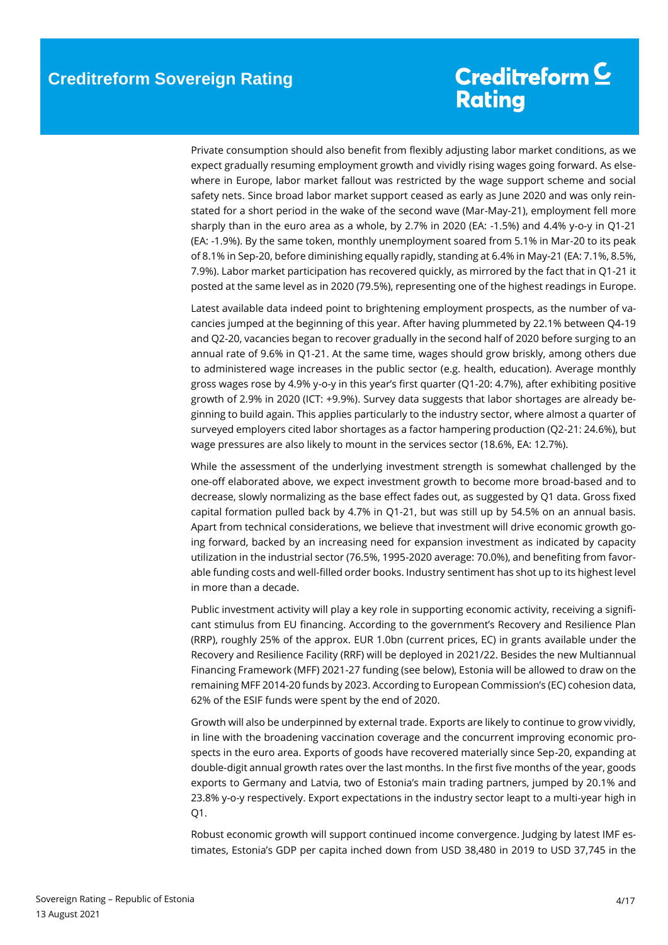Private consumption should also benefit from flexibly adjusting labor market conditions, as we expect gradually resuming employment growth and vividly rising wages going forward. As elsewhere in Europe, labor market fallout was restricted by the wage support scheme and social safety nets. Since broad labor market support ceased as early as June 2020 and was only reinstated for a short period in the wake of the second wave (Mar-May-21), employment fell more sharply than in the euro area as a whole, by 2.7% in 2020 (EA: -1.5%) and 4.4% y-o-y in Q1-21 (EA: -1.9%). By the same token, monthly unemployment soared from 5.1% in Mar-20 to its peak of 8.1% in Sep-20, before diminishing equally rapidly, standing at 6.4% in May-21 (EA: 7.1%, 8.5%, 7.9%). Labor market participation has recovered quickly, as mirrored by the fact that in Q1-21 it posted at the same level as in 2020 (79.5%), representing one of the highest readings in Europe.

Latest available data indeed point to brightening employment prospects, as the number of vacancies jumped at the beginning of this year. After having plummeted by 22.1% between Q4-19 and Q2-20, vacancies began to recover gradually in the second half of 2020 before surging to an annual rate of 9.6% in Q1-21. At the same time, wages should grow briskly, among others due to administered wage increases in the public sector (e.g. health, education). Average monthly gross wages rose by 4.9% y-o-y in this year's first quarter (Q1-20: 4.7%), after exhibiting positive growth of 2.9% in 2020 (ICT: +9.9%). Survey data suggests that labor shortages are already beginning to build again. This applies particularly to the industry sector, where almost a quarter of surveyed employers cited labor shortages as a factor hampering production (Q2-21: 24.6%), but wage pressures are also likely to mount in the services sector (18.6%, EA: 12.7%).

While the assessment of the underlying investment strength is somewhat challenged by the one-off elaborated above, we expect investment growth to become more broad-based and to decrease, slowly normalizing as the base effect fades out, as suggested by Q1 data. Gross fixed capital formation pulled back by 4.7% in Q1-21, but was still up by 54.5% on an annual basis. Apart from technical considerations, we believe that investment will drive economic growth going forward, backed by an increasing need for expansion investment as indicated by capacity utilization in the industrial sector (76.5%, 1995-2020 average: 70.0%), and benefiting from favorable funding costs and well-filled order books. Industry sentiment has shot up to its highest level in more than a decade.

Public investment activity will play a key role in supporting economic activity, receiving a significant stimulus from EU financing. According to the government's Recovery and Resilience Plan (RRP), roughly 25% of the approx. EUR 1.0bn (current prices, EC) in grants available under the Recovery and Resilience Facility (RRF) will be deployed in 2021/22. Besides the new Multiannual Financing Framework (MFF) 2021-27 funding (see below), Estonia will be allowed to draw on the remaining MFF 2014-20 funds by 2023. According to European Commission's (EC) cohesion data, 62% of the ESIF funds were spent by the end of 2020.

Growth will also be underpinned by external trade. Exports are likely to continue to grow vividly, in line with the broadening vaccination coverage and the concurrent improving economic prospects in the euro area. Exports of goods have recovered materially since Sep-20, expanding at double-digit annual growth rates over the last months. In the first five months of the year, goods exports to Germany and Latvia, two of Estonia's main trading partners, jumped by 20.1% and 23.8% y-o-y respectively. Export expectations in the industry sector leapt to a multi-year high in Q1.

Robust economic growth will support continued income convergence. Judging by latest IMF estimates, Estonia's GDP per capita inched down from USD 38,480 in 2019 to USD 37,745 in the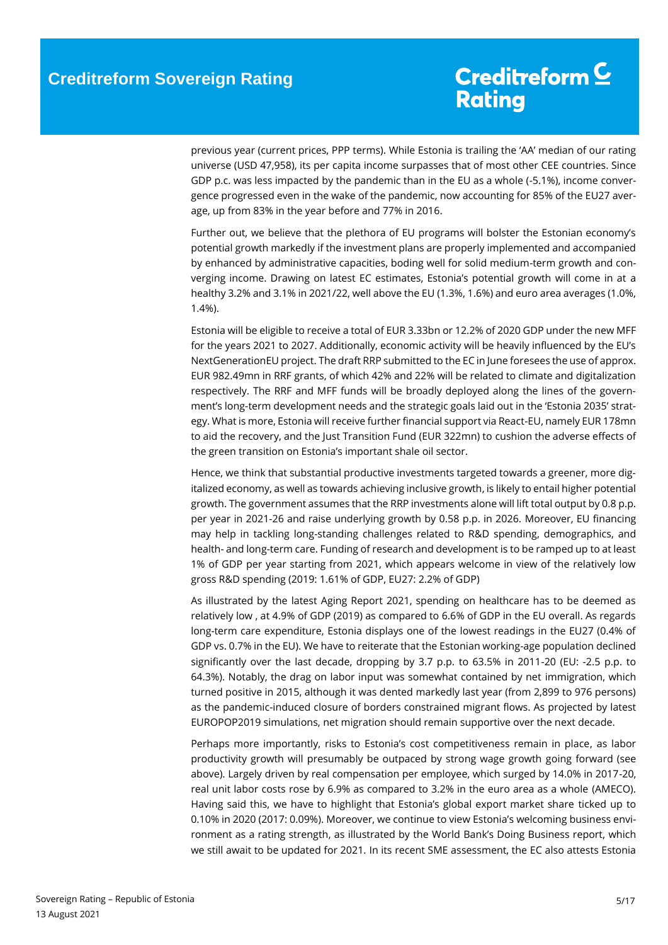previous year (current prices, PPP terms). While Estonia is trailing the 'AA' median of our rating universe (USD 47,958), its per capita income surpasses that of most other CEE countries. Since GDP p.c. was less impacted by the pandemic than in the EU as a whole (-5.1%), income convergence progressed even in the wake of the pandemic, now accounting for 85% of the EU27 average, up from 83% in the year before and 77% in 2016.

Further out, we believe that the plethora of EU programs will bolster the Estonian economy's potential growth markedly if the investment plans are properly implemented and accompanied by enhanced by administrative capacities, boding well for solid medium-term growth and converging income. Drawing on latest EC estimates, Estonia's potential growth will come in at a healthy 3.2% and 3.1% in 2021/22, well above the EU (1.3%, 1.6%) and euro area averages (1.0%, 1.4%).

Estonia will be eligible to receive a total of EUR 3.33bn or 12.2% of 2020 GDP under the new MFF for the years 2021 to 2027. Additionally, economic activity will be heavily influenced by the EU's NextGenerationEU project. The draft RRP submitted to the EC in June foresees the use of approx. EUR 982.49mn in RRF grants, of which 42% and 22% will be related to climate and digitalization respectively. The RRF and MFF funds will be broadly deployed along the lines of the government's long-term development needs and the strategic goals laid out in the 'Estonia 2035' strategy. What is more, Estonia will receive further financial support via React-EU, namely EUR 178mn to aid the recovery, and the Just Transition Fund (EUR 322mn) to cushion the adverse effects of the green transition on Estonia's important shale oil sector.

Hence, we think that substantial productive investments targeted towards a greener, more digitalized economy, as well as towards achieving inclusive growth, is likely to entail higher potential growth. The government assumes that the RRP investments alone will lift total output by 0.8 p.p. per year in 2021-26 and raise underlying growth by 0.58 p.p. in 2026. Moreover, EU financing may help in tackling long-standing challenges related to R&D spending, demographics, and health- and long-term care. Funding of research and development is to be ramped up to at least 1% of GDP per year starting from 2021, which appears welcome in view of the relatively low gross R&D spending (2019: 1.61% of GDP, EU27: 2.2% of GDP)

As illustrated by the latest Aging Report 2021, spending on healthcare has to be deemed as relatively low , at 4.9% of GDP (2019) as compared to 6.6% of GDP in the EU overall. As regards long-term care expenditure, Estonia displays one of the lowest readings in the EU27 (0.4% of GDP vs. 0.7% in the EU). We have to reiterate that the Estonian working-age population declined significantly over the last decade, dropping by 3.7 p.p. to 63.5% in 2011-20 (EU: -2.5 p.p. to 64.3%). Notably, the drag on labor input was somewhat contained by net immigration, which turned positive in 2015, although it was dented markedly last year (from 2,899 to 976 persons) as the pandemic-induced closure of borders constrained migrant flows. As projected by latest EUROPOP2019 simulations, net migration should remain supportive over the next decade.

Perhaps more importantly, risks to Estonia's cost competitiveness remain in place, as labor productivity growth will presumably be outpaced by strong wage growth going forward (see above). Largely driven by real compensation per employee, which surged by 14.0% in 2017-20, real unit labor costs rose by 6.9% as compared to 3.2% in the euro area as a whole (AMECO). Having said this, we have to highlight that Estonia's global export market share ticked up to 0.10% in 2020 (2017: 0.09%). Moreover, we continue to view Estonia's welcoming business environment as a rating strength, as illustrated by the World Bank's Doing Business report, which we still await to be updated for 2021. In its recent SME assessment, the EC also attests Estonia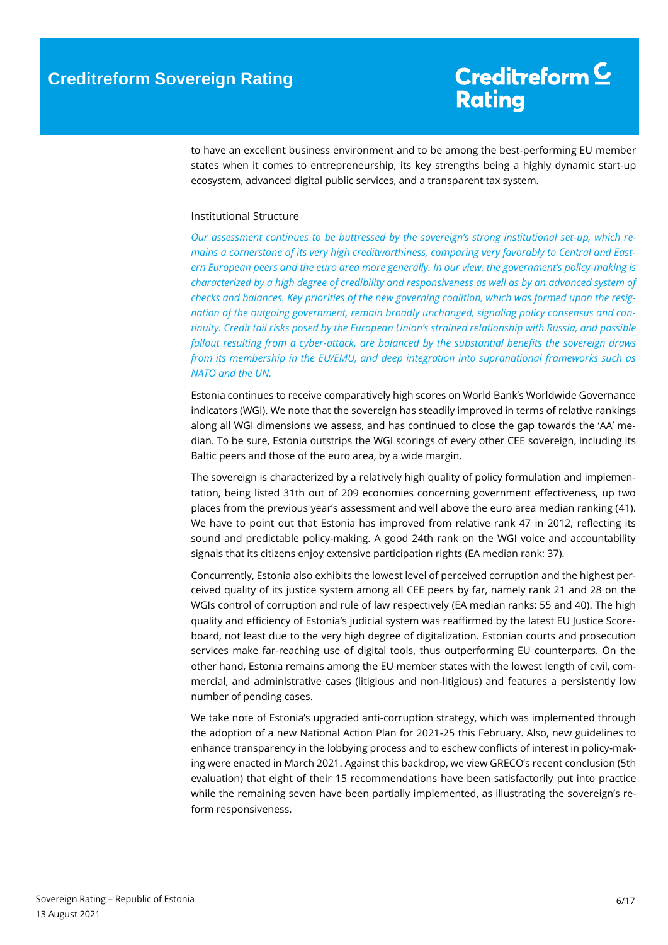to have an excellent business environment and to be among the best-performing EU member states when it comes to entrepreneurship, its key strengths being a highly dynamic start-up ecosystem, advanced digital public services, and a transparent tax system.

#### <span id="page-5-0"></span>Institutional Structure

*Our assessment continues to be buttressed by the sovereign's strong institutional set-up, which remains a cornerstone of its very high creditworthiness, comparing very favorably to Central and Eastern European peers and the euro area more generally. In our view, the government's policy-making is characterized by a high degree of credibility and responsiveness as well as by an advanced system of checks and balances. Key priorities of the new governing coalition, which was formed upon the resignation of the outgoing government, remain broadly unchanged, signaling policy consensus and continuity. Credit tail risks posed by the European Union's strained relationship with Russia, and possible fallout resulting from a cyber-attack, are balanced by the substantial benefits the sovereign draws from its membership in the EU/EMU, and deep integration into supranational frameworks such as NATO and the UN.*

Estonia continues to receive comparatively high scores on World Bank's Worldwide Governance indicators (WGI). We note that the sovereign has steadily improved in terms of relative rankings along all WGI dimensions we assess, and has continued to close the gap towards the 'AA' median. To be sure, Estonia outstrips the WGI scorings of every other CEE sovereign, including its Baltic peers and those of the euro area, by a wide margin.

The sovereign is characterized by a relatively high quality of policy formulation and implementation, being listed 31th out of 209 economies concerning government effectiveness, up two places from the previous year's assessment and well above the euro area median ranking (41). We have to point out that Estonia has improved from relative rank 47 in 2012, reflecting its sound and predictable policy-making. A good 24th rank on the WGI voice and accountability signals that its citizens enjoy extensive participation rights (EA median rank: 37).

Concurrently, Estonia also exhibits the lowest level of perceived corruption and the highest perceived quality of its justice system among all CEE peers by far, namely rank 21 and 28 on the WGIs control of corruption and rule of law respectively (EA median ranks: 55 and 40). The high quality and efficiency of Estonia's judicial system was reaffirmed by the latest EU Justice Scoreboard, not least due to the very high degree of digitalization. Estonian courts and prosecution services make far-reaching use of digital tools, thus outperforming EU counterparts. On the other hand, Estonia remains among the EU member states with the lowest length of civil, commercial, and administrative cases (litigious and non-litigious) and features a persistently low number of pending cases.

We take note of Estonia's upgraded anti-corruption strategy, which was implemented through the adoption of a new National Action Plan for 2021-25 this February. Also, new guidelines to enhance transparency in the lobbying process and to eschew conflicts of interest in policy-making were enacted in March 2021. Against this backdrop, we view GRECO's recent conclusion (5th evaluation) that eight of their 15 recommendations have been satisfactorily put into practice while the remaining seven have been partially implemented, as illustrating the sovereign's reform responsiveness.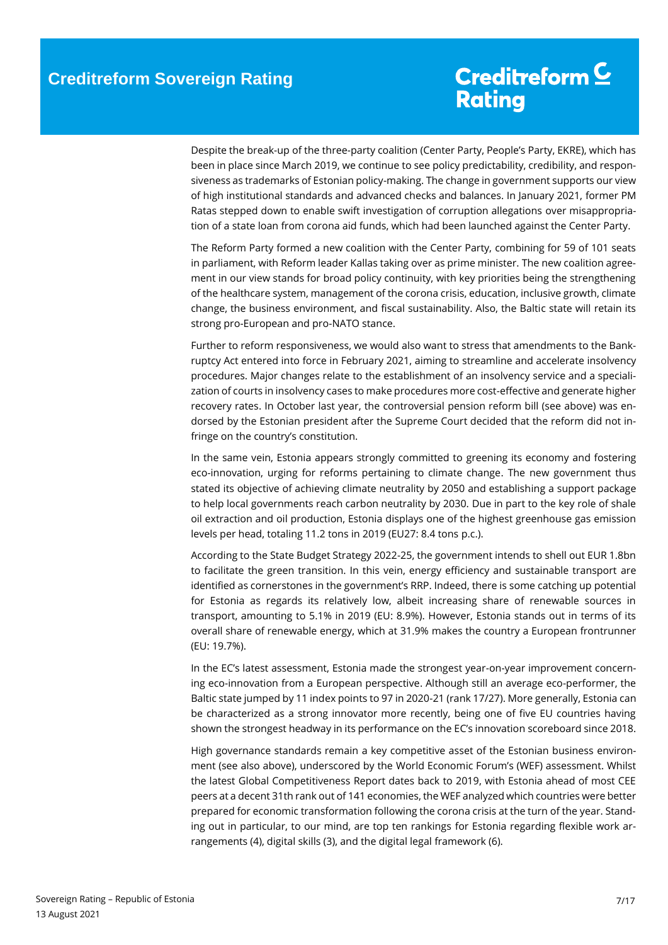Despite the break-up of the three-party coalition (Center Party, People's Party, EKRE), which has been in place since March 2019, we continue to see policy predictability, credibility, and responsiveness as trademarks of Estonian policy-making. The change in government supports our view of high institutional standards and advanced checks and balances. In January 2021, former PM Ratas stepped down to enable swift investigation of corruption allegations over misappropriation of a state loan from corona aid funds, which had been launched against the Center Party.

The Reform Party formed a new coalition with the Center Party, combining for 59 of 101 seats in parliament, with Reform leader Kallas taking over as prime minister. The new coalition agreement in our view stands for broad policy continuity, with key priorities being the strengthening of the healthcare system, management of the corona crisis, education, inclusive growth, climate change, the business environment, and fiscal sustainability. Also, the Baltic state will retain its strong pro-European and pro-NATO stance.

Further to reform responsiveness, we would also want to stress that amendments to the Bankruptcy Act entered into force in February 2021, aiming to streamline and accelerate insolvency procedures. Major changes relate to the establishment of an insolvency service and a specialization of courts in insolvency cases to make procedures more cost-effective and generate higher recovery rates. In October last year, the controversial pension reform bill (see above) was endorsed by the Estonian president after the Supreme Court decided that the reform did not infringe on the country's constitution.

In the same vein, Estonia appears strongly committed to greening its economy and fostering eco-innovation, urging for reforms pertaining to climate change. The new government thus stated its objective of achieving climate neutrality by 2050 and establishing a support package to help local governments reach carbon neutrality by 2030. Due in part to the key role of shale oil extraction and oil production, Estonia displays one of the highest greenhouse gas emission levels per head, totaling 11.2 tons in 2019 (EU27: 8.4 tons p.c.).

According to the State Budget Strategy 2022-25, the government intends to shell out EUR 1.8bn to facilitate the green transition. In this vein, energy efficiency and sustainable transport are identified as cornerstones in the government's RRP. Indeed, there is some catching up potential for Estonia as regards its relatively low, albeit increasing share of renewable sources in transport, amounting to 5.1% in 2019 (EU: 8.9%). However, Estonia stands out in terms of its overall share of renewable energy, which at 31.9% makes the country a European frontrunner (EU: 19.7%).

In the EC's latest assessment, Estonia made the strongest year-on-year improvement concerning eco-innovation from a European perspective. Although still an average eco-performer, the Baltic state jumped by 11 index points to 97 in 2020-21 (rank 17/27). More generally, Estonia can be characterized as a strong innovator more recently, being one of five EU countries having shown the strongest headway in its performance on the EC's innovation scoreboard since 2018.

High governance standards remain a key competitive asset of the Estonian business environment (see also above), underscored by the World Economic Forum's (WEF) assessment. Whilst the latest Global Competitiveness Report dates back to 2019, with Estonia ahead of most CEE peers at a decent 31th rank out of 141 economies, the WEF analyzed which countries were better prepared for economic transformation following the corona crisis at the turn of the year. Standing out in particular, to our mind, are top ten rankings for Estonia regarding flexible work arrangements (4), digital skills (3), and the digital legal framework (6).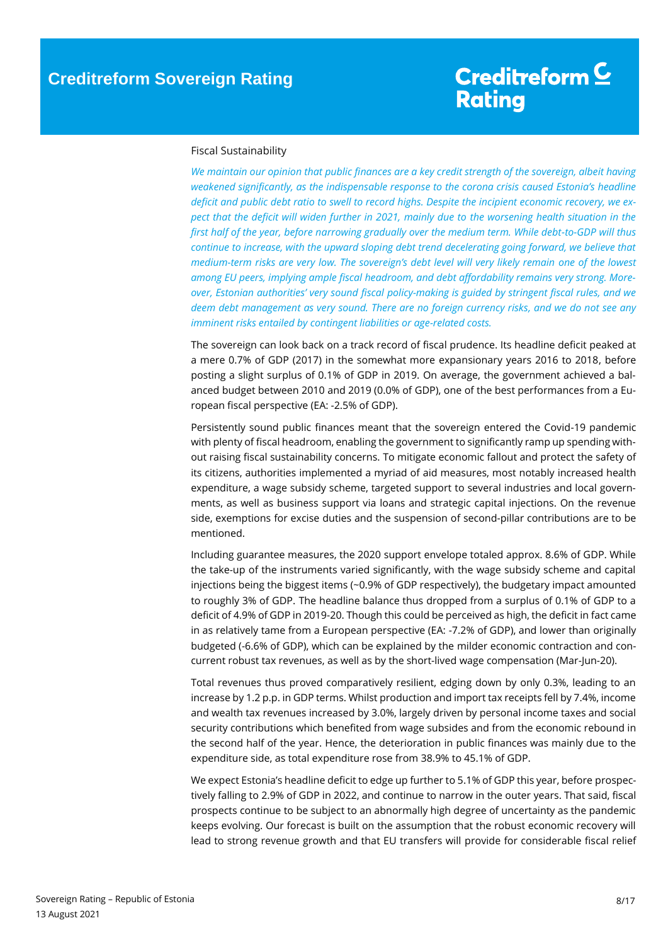#### <span id="page-7-0"></span>Fiscal Sustainability

*We maintain our opinion that public finances are a key credit strength of the sovereign, albeit having weakened significantly, as the indispensable response to the corona crisis caused Estonia's headline*  deficit and public debt ratio to swell to record highs. Despite the incipient economic recovery, we ex*pect that the deficit will widen further in 2021, mainly due to the worsening health situation in the first half of the year, before narrowing gradually over the medium term. While debt-to-GDP will thus continue to increase, with the upward sloping debt trend decelerating going forward, we believe that medium-term risks are very low. The sovereign's debt level will very likely remain one of the lowest among EU peers, implying ample fiscal headroom, and debt affordability remains very strong. Moreover, Estonian authorities' very sound fiscal policy-making is guided by stringent fiscal rules, and we deem debt management as very sound. There are no foreign currency risks, and we do not see any imminent risks entailed by contingent liabilities or age-related costs.*

The sovereign can look back on a track record of fiscal prudence. Its headline deficit peaked at a mere 0.7% of GDP (2017) in the somewhat more expansionary years 2016 to 2018, before posting a slight surplus of 0.1% of GDP in 2019. On average, the government achieved a balanced budget between 2010 and 2019 (0.0% of GDP), one of the best performances from a European fiscal perspective (EA: -2.5% of GDP).

Persistently sound public finances meant that the sovereign entered the Covid-19 pandemic with plenty of fiscal headroom, enabling the government to significantly ramp up spending without raising fiscal sustainability concerns. To mitigate economic fallout and protect the safety of its citizens, authorities implemented a myriad of aid measures, most notably increased health expenditure, a wage subsidy scheme, targeted support to several industries and local governments, as well as business support via loans and strategic capital injections. On the revenue side, exemptions for excise duties and the suspension of second-pillar contributions are to be mentioned.

Including guarantee measures, the 2020 support envelope totaled approx. 8.6% of GDP. While the take-up of the instruments varied significantly, with the wage subsidy scheme and capital injections being the biggest items (~0.9% of GDP respectively), the budgetary impact amounted to roughly 3% of GDP. The headline balance thus dropped from a surplus of 0.1% of GDP to a deficit of 4.9% of GDP in 2019-20. Though this could be perceived as high, the deficit in fact came in as relatively tame from a European perspective (EA: -7.2% of GDP), and lower than originally budgeted (-6.6% of GDP), which can be explained by the milder economic contraction and concurrent robust tax revenues, as well as by the short-lived wage compensation (Mar-Jun-20).

Total revenues thus proved comparatively resilient, edging down by only 0.3%, leading to an increase by 1.2 p.p. in GDP terms. Whilst production and import tax receipts fell by 7.4%, income and wealth tax revenues increased by 3.0%, largely driven by personal income taxes and social security contributions which benefited from wage subsides and from the economic rebound in the second half of the year. Hence, the deterioration in public finances was mainly due to the expenditure side, as total expenditure rose from 38.9% to 45.1% of GDP.

We expect Estonia's headline deficit to edge up further to 5.1% of GDP this year, before prospectively falling to 2.9% of GDP in 2022, and continue to narrow in the outer years. That said, fiscal prospects continue to be subject to an abnormally high degree of uncertainty as the pandemic keeps evolving. Our forecast is built on the assumption that the robust economic recovery will lead to strong revenue growth and that EU transfers will provide for considerable fiscal relief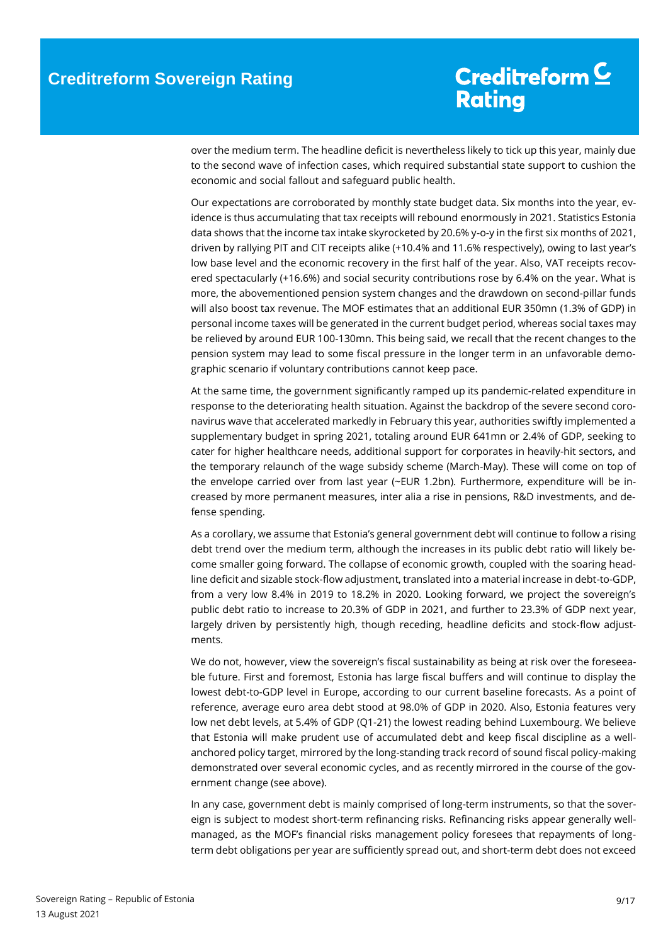over the medium term. The headline deficit is nevertheless likely to tick up this year, mainly due to the second wave of infection cases, which required substantial state support to cushion the economic and social fallout and safeguard public health.

Our expectations are corroborated by monthly state budget data. Six months into the year, evidence is thus accumulating that tax receipts will rebound enormously in 2021. Statistics Estonia data shows that the income tax intake skyrocketed by 20.6% y-o-y in the first six months of 2021, driven by rallying PIT and CIT receipts alike (+10.4% and 11.6% respectively), owing to last year's low base level and the economic recovery in the first half of the year. Also, VAT receipts recovered spectacularly (+16.6%) and social security contributions rose by 6.4% on the year. What is more, the abovementioned pension system changes and the drawdown on second-pillar funds will also boost tax revenue. The MOF estimates that an additional EUR 350mn (1.3% of GDP) in personal income taxes will be generated in the current budget period, whereas social taxes may be relieved by around EUR 100-130mn. This being said, we recall that the recent changes to the pension system may lead to some fiscal pressure in the longer term in an unfavorable demographic scenario if voluntary contributions cannot keep pace.

At the same time, the government significantly ramped up its pandemic-related expenditure in response to the deteriorating health situation. Against the backdrop of the severe second coronavirus wave that accelerated markedly in February this year, authorities swiftly implemented a supplementary budget in spring 2021, totaling around EUR 641mn or 2.4% of GDP, seeking to cater for higher healthcare needs, additional support for corporates in heavily-hit sectors, and the temporary relaunch of the wage subsidy scheme (March-May). These will come on top of the envelope carried over from last year (~EUR 1.2bn). Furthermore, expenditure will be increased by more permanent measures, inter alia a rise in pensions, R&D investments, and defense spending.

As a corollary, we assume that Estonia's general government debt will continue to follow a rising debt trend over the medium term, although the increases in its public debt ratio will likely become smaller going forward. The collapse of economic growth, coupled with the soaring headline deficit and sizable stock-flow adjustment, translated into a material increase in debt-to-GDP, from a very low 8.4% in 2019 to 18.2% in 2020. Looking forward, we project the sovereign's public debt ratio to increase to 20.3% of GDP in 2021, and further to 23.3% of GDP next year, largely driven by persistently high, though receding, headline deficits and stock-flow adjustments.

We do not, however, view the sovereign's fiscal sustainability as being at risk over the foreseeable future. First and foremost, Estonia has large fiscal buffers and will continue to display the lowest debt-to-GDP level in Europe, according to our current baseline forecasts. As a point of reference, average euro area debt stood at 98.0% of GDP in 2020. Also, Estonia features very low net debt levels, at 5.4% of GDP (Q1-21) the lowest reading behind Luxembourg. We believe that Estonia will make prudent use of accumulated debt and keep fiscal discipline as a wellanchored policy target, mirrored by the long-standing track record of sound fiscal policy-making demonstrated over several economic cycles, and as recently mirrored in the course of the government change (see above).

In any case, government debt is mainly comprised of long-term instruments, so that the sovereign is subject to modest short-term refinancing risks. Refinancing risks appear generally wellmanaged, as the MOF's financial risks management policy foresees that repayments of longterm debt obligations per year are sufficiently spread out, and short-term debt does not exceed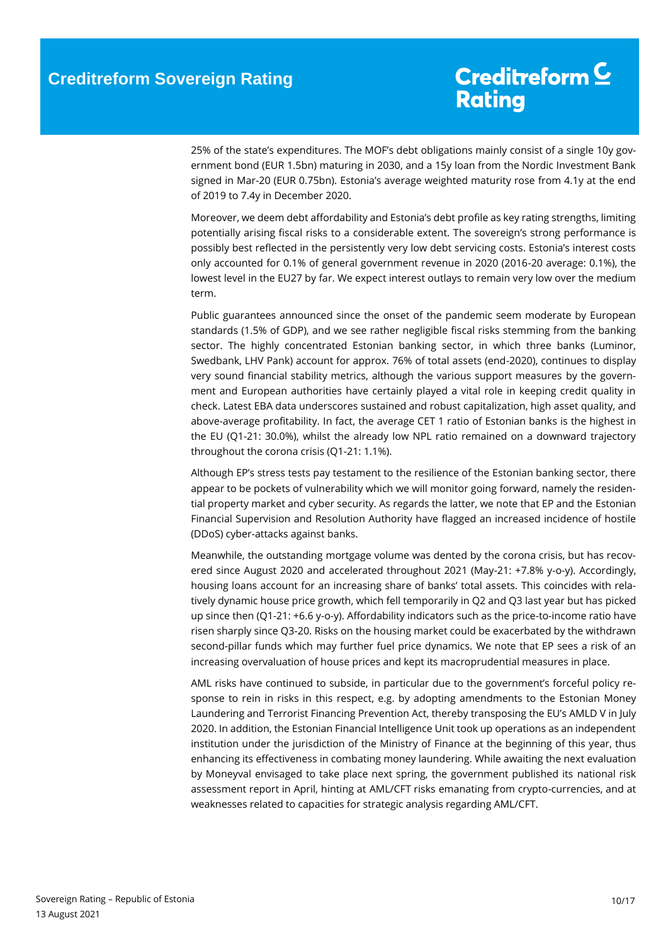25% of the state's expenditures. The MOF's debt obligations mainly consist of a single 10y government bond (EUR 1.5bn) maturing in 2030, and a 15y loan from the Nordic Investment Bank signed in Mar-20 (EUR 0.75bn). Estonia's average weighted maturity rose from 4.1y at the end of 2019 to 7.4y in December 2020.

Moreover, we deem debt affordability and Estonia's debt profile as key rating strengths, limiting potentially arising fiscal risks to a considerable extent. The sovereign's strong performance is possibly best reflected in the persistently very low debt servicing costs. Estonia's interest costs only accounted for 0.1% of general government revenue in 2020 (2016-20 average: 0.1%), the lowest level in the EU27 by far. We expect interest outlays to remain very low over the medium term.

Public guarantees announced since the onset of the pandemic seem moderate by European standards (1.5% of GDP), and we see rather negligible fiscal risks stemming from the banking sector. The highly concentrated Estonian banking sector, in which three banks (Luminor, Swedbank, LHV Pank) account for approx. 76% of total assets (end-2020), continues to display very sound financial stability metrics, although the various support measures by the government and European authorities have certainly played a vital role in keeping credit quality in check. Latest EBA data underscores sustained and robust capitalization, high asset quality, and above-average profitability. In fact, the average CET 1 ratio of Estonian banks is the highest in the EU (Q1-21: 30.0%), whilst the already low NPL ratio remained on a downward trajectory throughout the corona crisis (Q1-21: 1.1%).

Although EP's stress tests pay testament to the resilience of the Estonian banking sector, there appear to be pockets of vulnerability which we will monitor going forward, namely the residential property market and cyber security. As regards the latter, we note that EP and the Estonian Financial Supervision and Resolution Authority have flagged an increased incidence of hostile (DDoS) cyber-attacks against banks.

Meanwhile, the outstanding mortgage volume was dented by the corona crisis, but has recovered since August 2020 and accelerated throughout 2021 (May-21: +7.8% y-o-y). Accordingly, housing loans account for an increasing share of banks' total assets. This coincides with relatively dynamic house price growth, which fell temporarily in Q2 and Q3 last year but has picked up since then (Q1-21: +6.6 y-o-y). Affordability indicators such as the price-to-income ratio have risen sharply since Q3-20. Risks on the housing market could be exacerbated by the withdrawn second-pillar funds which may further fuel price dynamics. We note that EP sees a risk of an increasing overvaluation of house prices and kept its macroprudential measures in place.

AML risks have continued to subside, in particular due to the government's forceful policy response to rein in risks in this respect, e.g. by adopting amendments to the Estonian Money Laundering and Terrorist Financing Prevention Act, thereby transposing the EU's AMLD V in July 2020. In addition, the Estonian Financial Intelligence Unit took up operations as an independent institution under the jurisdiction of the Ministry of Finance at the beginning of this year, thus enhancing its effectiveness in combating money laundering. While awaiting the next evaluation by Moneyval envisaged to take place next spring, the government published its national risk assessment report in April, hinting at AML/CFT risks emanating from crypto-currencies, and at weaknesses related to capacities for strategic analysis regarding AML/CFT.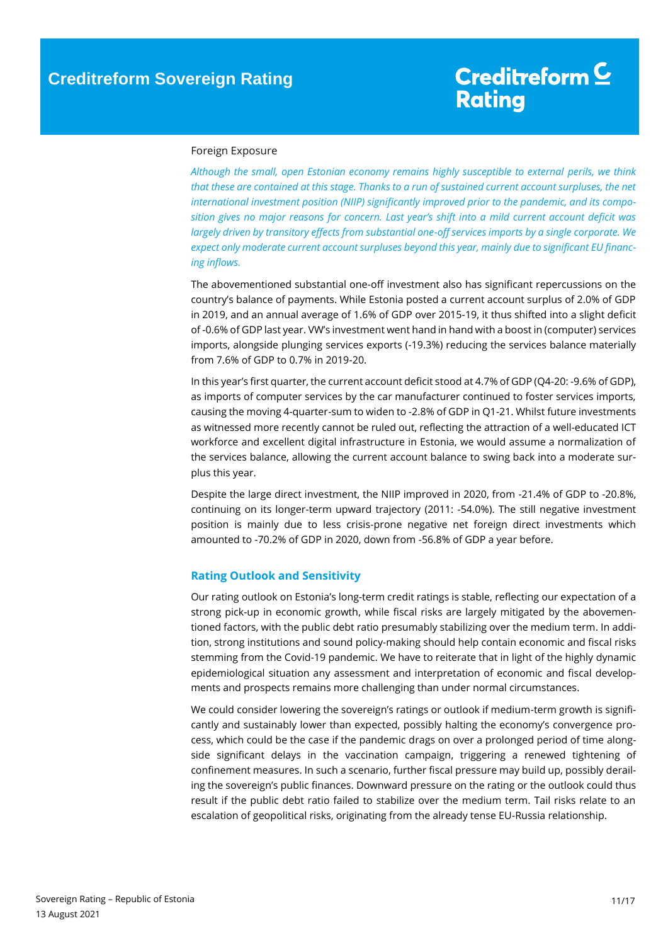#### <span id="page-10-0"></span>Foreign Exposure

*Although the small, open Estonian economy remains highly susceptible to external perils, we think that these are contained at this stage. Thanks to a run of sustained current account surpluses, the net international investment position (NIIP) significantly improved prior to the pandemic, and its composition gives no major reasons for concern. Last year's shift into a mild current account deficit was largely driven by transitory effects from substantial one-off services imports by a single corporate. We expect only moderate current account surpluses beyond this year, mainly due to significant EU financing inflows.*

The abovementioned substantial one-off investment also has significant repercussions on the country's balance of payments. While Estonia posted a current account surplus of 2.0% of GDP in 2019, and an annual average of 1.6% of GDP over 2015-19, it thus shifted into a slight deficit of -0.6% of GDP last year. VW's investment went hand in hand with a boost in (computer) services imports, alongside plunging services exports (-19.3%) reducing the services balance materially from 7.6% of GDP to 0.7% in 2019-20.

In this year's first quarter, the current account deficit stood at 4.7% of GDP (Q4-20: -9.6% of GDP), as imports of computer services by the car manufacturer continued to foster services imports, causing the moving 4-quarter-sum to widen to -2.8% of GDP in Q1-21. Whilst future investments as witnessed more recently cannot be ruled out, reflecting the attraction of a well-educated ICT workforce and excellent digital infrastructure in Estonia, we would assume a normalization of the services balance, allowing the current account balance to swing back into a moderate surplus this year.

Despite the large direct investment, the NIIP improved in 2020, from -21.4% of GDP to -20.8%, continuing on its longer-term upward trajectory (2011: -54.0%). The still negative investment position is mainly due to less crisis-prone negative net foreign direct investments which amounted to -70.2% of GDP in 2020, down from -56.8% of GDP a year before.

#### <span id="page-10-1"></span>**Rating Outlook and Sensitivity**

Our rating outlook on Estonia's long-term credit ratings is stable, reflecting our expectation of a strong pick-up in economic growth, while fiscal risks are largely mitigated by the abovementioned factors, with the public debt ratio presumably stabilizing over the medium term. In addition, strong institutions and sound policy-making should help contain economic and fiscal risks stemming from the Covid-19 pandemic. We have to reiterate that in light of the highly dynamic epidemiological situation any assessment and interpretation of economic and fiscal developments and prospects remains more challenging than under normal circumstances.

We could consider lowering the sovereign's ratings or outlook if medium-term growth is significantly and sustainably lower than expected, possibly halting the economy's convergence process, which could be the case if the pandemic drags on over a prolonged period of time alongside significant delays in the vaccination campaign, triggering a renewed tightening of confinement measures. In such a scenario, further fiscal pressure may build up, possibly derailing the sovereign's public finances. Downward pressure on the rating or the outlook could thus result if the public debt ratio failed to stabilize over the medium term. Tail risks relate to an escalation of geopolitical risks, originating from the already tense EU-Russia relationship.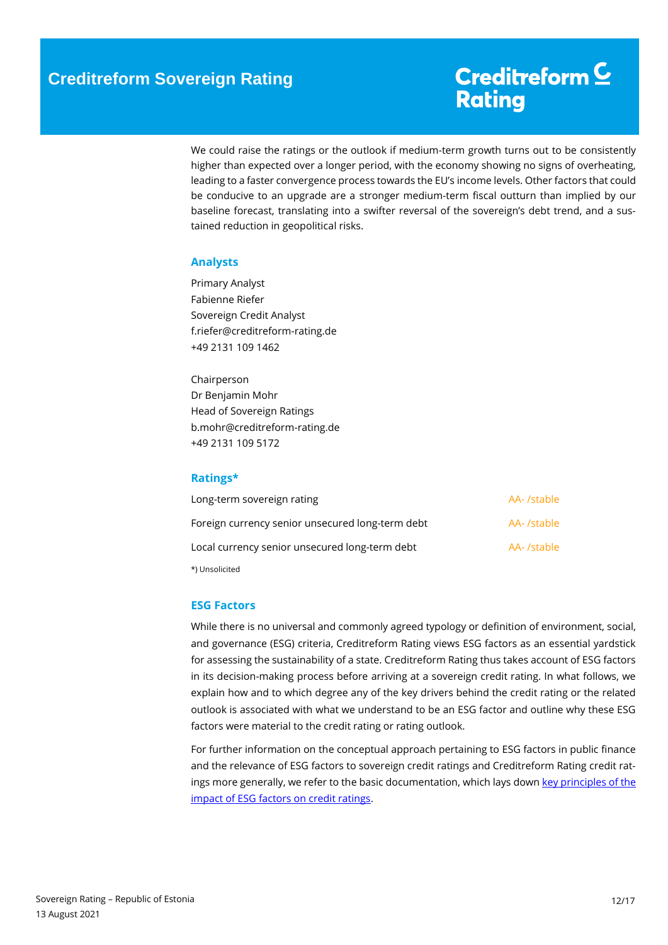We could raise the ratings or the outlook if medium-term growth turns out to be consistently higher than expected over a longer period, with the economy showing no signs of overheating, leading to a faster convergence process towards the EU's income levels. Other factors that could be conducive to an upgrade are a stronger medium-term fiscal outturn than implied by our baseline forecast, translating into a swifter reversal of the sovereign's debt trend, and a sustained reduction in geopolitical risks.

#### <span id="page-11-0"></span>**Analysts**

Primary Analyst Fabienne Riefer Sovereign Credit Analyst f.riefer@creditreform-rating.de +49 2131 109 1462

Chairperson Dr Benjamin Mohr Head of Sovereign Ratings b.mohr@creditreform-rating.de +49 2131 109 5172

#### <span id="page-11-1"></span>**Ratings\***

| Long-term sovereign rating                       | AA- /stable |
|--------------------------------------------------|-------------|
| Foreign currency senior unsecured long-term debt | AA- /stable |
| Local currency senior unsecured long-term debt   | AA- /stable |
| *) Unsolicited                                   |             |

#### <span id="page-11-2"></span>**ESG Factors**

While there is no universal and commonly agreed typology or definition of environment, social, and governance (ESG) criteria, Creditreform Rating views ESG factors as an essential yardstick for assessing the sustainability of a state. Creditreform Rating thus takes account of ESG factors in its decision-making process before arriving at a sovereign credit rating. In what follows, we explain how and to which degree any of the key drivers behind the credit rating or the related outlook is associated with what we understand to be an ESG factor and outline why these ESG factors were material to the credit rating or rating outlook.

For further information on the conceptual approach pertaining to ESG factors in public finance and the relevance of ESG factors to sovereign credit ratings and Creditreform Rating credit ratings more generally, we refer to the basic documentation, which lays down key principles of the [impact of ESG factors on credit ratings.](https://www.creditreform-rating.de/en/about-us/regulatory-requirements.html?file=files/content/downloads/Externes%20Rating/Regulatorische%20Anforderungen/EN/Ratingmethodiken%20EN/The%20Impact%20of%20ESG%20Factors%20on%20Credit%20Ratings.pdf)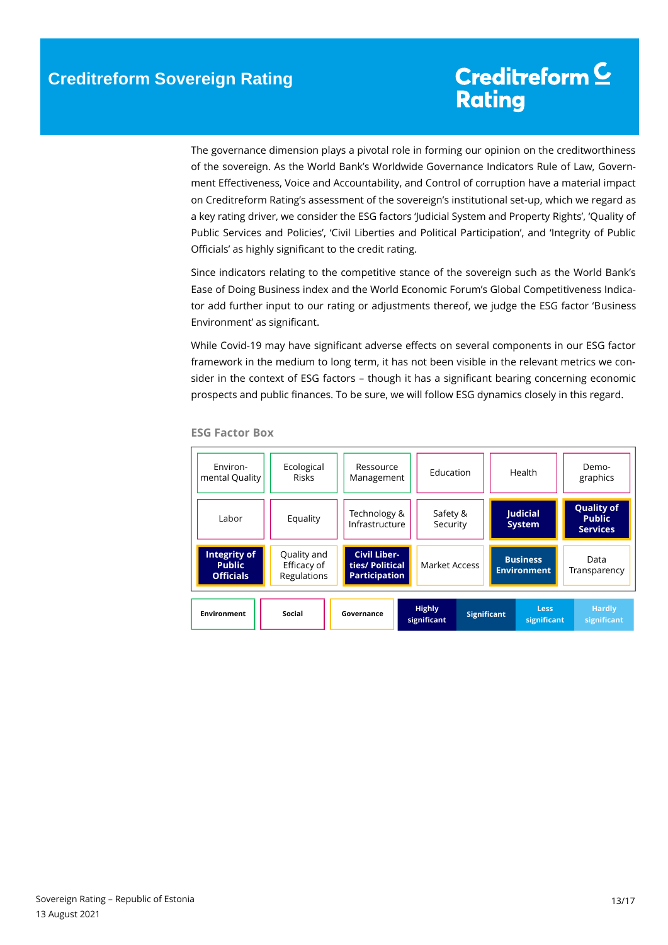The governance dimension plays a pivotal role in forming our opinion on the creditworthiness of the sovereign. As the World Bank's Worldwide Governance Indicators Rule of Law, Government Effectiveness, Voice and Accountability, and Control of corruption have a material impact on Creditreform Rating's assessment of the sovereign's institutional set-up, which we regard as a key rating driver, we consider the ESG factors 'Judicial System and Property Rights', 'Quality of Public Services and Policies', 'Civil Liberties and Political Participation', and 'Integrity of Public Officials' as highly significant to the credit rating.

Since indicators relating to the competitive stance of the sovereign such as the World Bank's Ease of Doing Business index and the World Economic Forum's Global Competitiveness Indicator add further input to our rating or adjustments thereof, we judge the ESG factor 'Business Environment' as significant.

While Covid-19 may have significant adverse effects on several components in our ESG factor framework in the medium to long term, it has not been visible in the relevant metrics we consider in the context of ESG factors – though it has a significant bearing concerning economic prospects and public finances. To be sure, we will follow ESG dynamics closely in this regard.



**ESG Factor Box**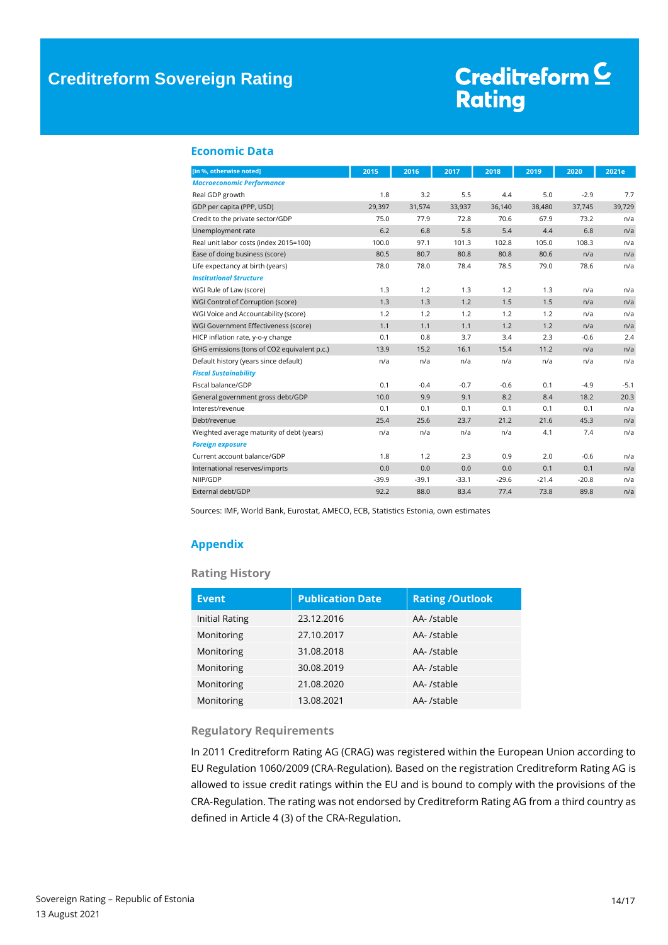### **Creditreform Sovereign Rating**

# Creditreform<sup>C</sup> **Rating**

#### <span id="page-13-0"></span>**Economic Data**

| [in %, otherwise noted]                     | 2015    | 2016    | 2017    | 2018    | 2019    | 2020    | 2021e  |
|---------------------------------------------|---------|---------|---------|---------|---------|---------|--------|
| <b>Macroeconomic Performance</b>            |         |         |         |         |         |         |        |
| Real GDP growth                             | 1.8     | 3.2     | 5.5     | 4.4     | 5.0     | $-2.9$  | 7.7    |
| GDP per capita (PPP, USD)                   | 29,397  | 31,574  | 33,937  | 36,140  | 38,480  | 37,745  | 39,729 |
| Credit to the private sector/GDP            | 75.0    | 77.9    | 72.8    | 70.6    | 67.9    | 73.2    | n/a    |
| Unemployment rate                           | 6.2     | 6.8     | 5.8     | 5.4     | 4.4     | 6.8     | n/a    |
| Real unit labor costs (index 2015=100)      | 100.0   | 97.1    | 101.3   | 102.8   | 105.0   | 108.3   | n/a    |
| Ease of doing business (score)              | 80.5    | 80.7    | 80.8    | 80.8    | 80.6    | n/a     | n/a    |
| Life expectancy at birth (years)            | 78.0    | 78.0    | 78.4    | 78.5    | 79.0    | 78.6    | n/a    |
| <b>Institutional Structure</b>              |         |         |         |         |         |         |        |
| WGI Rule of Law (score)                     | 1.3     | 1.2     | 1.3     | 1.2     | 1.3     | n/a     | n/a    |
| WGI Control of Corruption (score)           | 1.3     | 1.3     | 1.2     | 1.5     | 1.5     | n/a     | n/a    |
| WGI Voice and Accountability (score)        | 1.2     | 1.2     | 1.2     | 1.2     | 1.2     | n/a     | n/a    |
| WGI Government Effectiveness (score)        | 1.1     | 1.1     | 1.1     | 1.2     | 1.2     | n/a     | n/a    |
| HICP inflation rate, y-o-y change           | 0.1     | 0.8     | 3.7     | 3.4     | 2.3     | $-0.6$  | 2.4    |
| GHG emissions (tons of CO2 equivalent p.c.) | 13.9    | 15.2    | 16.1    | 15.4    | 11.2    | n/a     | n/a    |
| Default history (years since default)       | n/a     | n/a     | n/a     | n/a     | n/a     | n/a     | n/a    |
| <b>Fiscal Sustainability</b>                |         |         |         |         |         |         |        |
| Fiscal balance/GDP                          | 0.1     | $-0.4$  | $-0.7$  | $-0.6$  | 0.1     | $-4.9$  | $-5.1$ |
| General government gross debt/GDP           | 10.0    | 9.9     | 9.1     | 8.2     | 8.4     | 18.2    | 20.3   |
| Interest/revenue                            | 0.1     | 0.1     | 0.1     | 0.1     | 0.1     | 0.1     | n/a    |
| Debt/revenue                                | 25.4    | 25.6    | 23.7    | 21.2    | 21.6    | 45.3    | n/a    |
| Weighted average maturity of debt (years)   | n/a     | n/a     | n/a     | n/a     | 4.1     | 7.4     | n/a    |
| <b>Foreign exposure</b>                     |         |         |         |         |         |         |        |
| Current account balance/GDP                 | 1.8     | 1.2     | 2.3     | 0.9     | 2.0     | $-0.6$  | n/a    |
| International reserves/imports              | 0.0     | 0.0     | 0.0     | 0.0     | 0.1     | 0.1     | n/a    |
| NIIP/GDP                                    | $-39.9$ | $-39.1$ | $-33.1$ | $-29.6$ | $-21.4$ | $-20.8$ | n/a    |
| External debt/GDP                           | 92.2    | 88.0    | 83.4    | 77.4    | 73.8    | 89.8    | n/a    |

Sources: IMF, World Bank, Eurostat, AMECO, ECB, Statistics Estonia, own estimates

#### <span id="page-13-1"></span>**Appendix**

#### **Rating History**

| <b>Event</b>          | <b>Publication Date</b> | <b>Rating /Outlook</b> |
|-----------------------|-------------------------|------------------------|
| <b>Initial Rating</b> | 23.12.2016              | AA- /stable            |
| Monitoring            | 27.10.2017              | AA- /stable            |
| Monitoring            | 31.08.2018              | AA-/stable             |
| Monitoring            | 30.08.2019              | AA- /stable            |
| Monitoring            | 21.08.2020              | AA- /stable            |
| Monitoring            | 13.08.2021              | AA- /stable            |

#### **Regulatory Requirements**

In 2011 Creditreform Rating AG (CRAG) was registered within the European Union according to EU Regulation 1060/2009 (CRA-Regulation). Based on the registration Creditreform Rating AG is allowed to issue credit ratings within the EU and is bound to comply with the provisions of the CRA-Regulation. The rating was not endorsed by Creditreform Rating AG from a third country as defined in Article 4 (3) of the CRA-Regulation.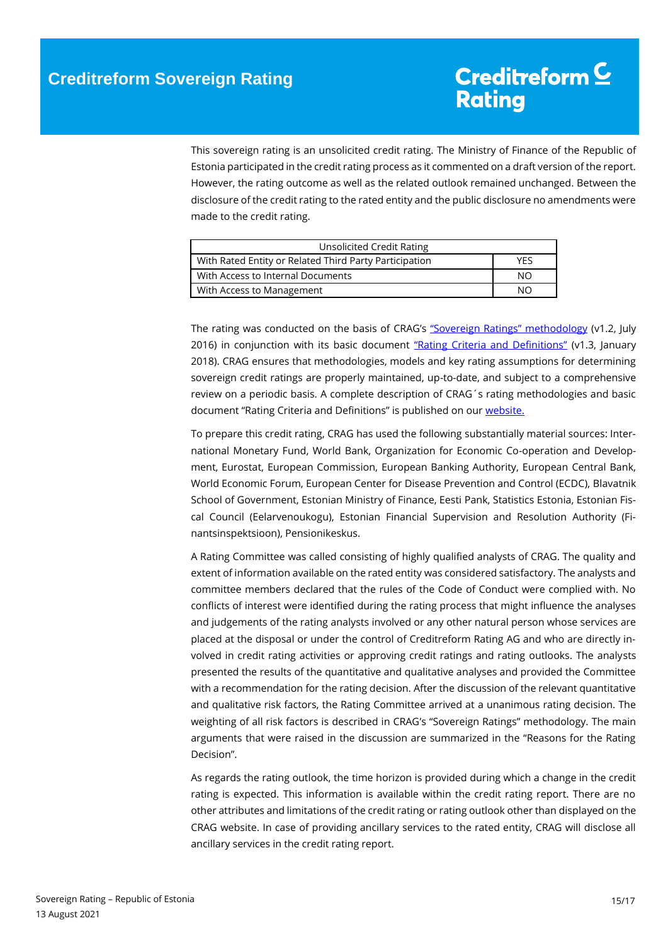This sovereign rating is an unsolicited credit rating. The Ministry of Finance of the Republic of Estonia participated in the credit rating process as it commented on a draft version of the report. However, the rating outcome as well as the related outlook remained unchanged. Between the disclosure of the credit rating to the rated entity and the public disclosure no amendments were made to the credit rating.

| Unsolicited Credit Rating                              |     |
|--------------------------------------------------------|-----|
| With Rated Entity or Related Third Party Participation | YFS |
| With Access to Internal Documents                      | NΟ  |
| With Access to Management                              | NΩ  |

The rating was conducted on the basis of CRAG's ["Sovereign Ratings" methodology](https://www.creditreform-rating.de/en/about-us/regulatory-requirements.html?file=files/content/downloads/Externes%20Rating/Regulatorische%20Anforderungen/EN/Ratingmethodiken%20EN/Rating%20Methodology%20Sovereign%20Ratings.pdf) (v1.2, July 2016) in conjunction with its basic document ["Rating Criteria and Definitions"](https://www.creditreform-rating.de/en/about-us/regulatory-requirements.html?file=files/content/downloads/Externes%20Rating/Regulatorische%20Anforderungen/EN/Ratingmethodiken%20EN/CRAG%20Rating%20Criteria%20and%20Definitions.pdf) (v1.3, January 2018). CRAG ensures that methodologies, models and key rating assumptions for determining sovereign credit ratings are properly maintained, up-to-date, and subject to a comprehensive review on a periodic basis. A complete description of CRAG´s rating methodologies and basic document "Rating Criteria and Definitions" is published on our [website.](https://www.creditreform-rating.de/en/about-us/regulatory-requirements.html)

To prepare this credit rating, CRAG has used the following substantially material sources: International Monetary Fund, World Bank, Organization for Economic Co-operation and Development, Eurostat, European Commission, European Banking Authority, European Central Bank, World Economic Forum, European Center for Disease Prevention and Control (ECDC), Blavatnik School of Government, Estonian Ministry of Finance, Eesti Pank, Statistics Estonia, Estonian Fiscal Council (Eelarvenoukogu), Estonian Financial Supervision and Resolution Authority (Finantsinspektsioon), Pensionikeskus.

A Rating Committee was called consisting of highly qualified analysts of CRAG. The quality and extent of information available on the rated entity was considered satisfactory. The analysts and committee members declared that the rules of the Code of Conduct were complied with. No conflicts of interest were identified during the rating process that might influence the analyses and judgements of the rating analysts involved or any other natural person whose services are placed at the disposal or under the control of Creditreform Rating AG and who are directly involved in credit rating activities or approving credit ratings and rating outlooks. The analysts presented the results of the quantitative and qualitative analyses and provided the Committee with a recommendation for the rating decision. After the discussion of the relevant quantitative and qualitative risk factors, the Rating Committee arrived at a unanimous rating decision. The weighting of all risk factors is described in CRAG's "Sovereign Ratings" methodology. The main arguments that were raised in the discussion are summarized in the "Reasons for the Rating Decision".

As regards the rating outlook, the time horizon is provided during which a change in the credit rating is expected. This information is available within the credit rating report. There are no other attributes and limitations of the credit rating or rating outlook other than displayed on the CRAG website. In case of providing ancillary services to the rated entity, CRAG will disclose all ancillary services in the credit rating report.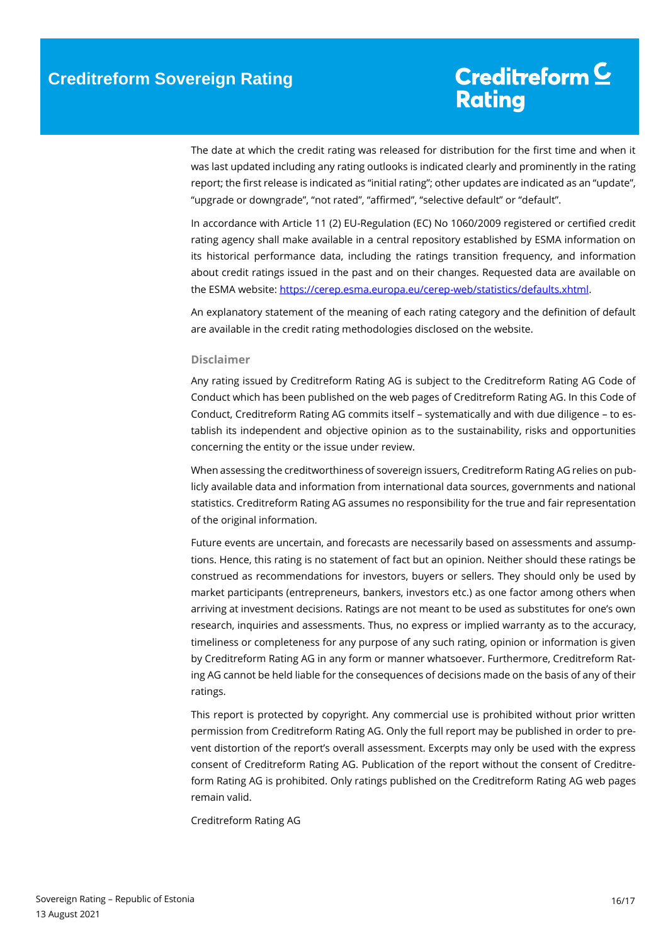The date at which the credit rating was released for distribution for the first time and when it was last updated including any rating outlooks is indicated clearly and prominently in the rating report; the first release is indicated as "initial rating"; other updates are indicated as an "update", "upgrade or downgrade", "not rated", "affirmed", "selective default" or "default".

In accordance with Article 11 (2) EU-Regulation (EC) No 1060/2009 registered or certified credit rating agency shall make available in a central repository established by ESMA information on its historical performance data, including the ratings transition frequency, and information about credit ratings issued in the past and on their changes. Requested data are available on the ESMA website[: https://cerep.esma.europa.eu/cerep-web/statistics/defaults.xhtml.](https://cerep.esma.europa.eu/cerep-web/statistics/defaults.xhtml)

An explanatory statement of the meaning of each rating category and the definition of default are available in the credit rating methodologies disclosed on the website.

#### **Disclaimer**

Any rating issued by Creditreform Rating AG is subject to the Creditreform Rating AG Code of Conduct which has been published on the web pages of Creditreform Rating AG. In this Code of Conduct, Creditreform Rating AG commits itself – systematically and with due diligence – to establish its independent and objective opinion as to the sustainability, risks and opportunities concerning the entity or the issue under review.

When assessing the creditworthiness of sovereign issuers, Creditreform Rating AG relies on publicly available data and information from international data sources, governments and national statistics. Creditreform Rating AG assumes no responsibility for the true and fair representation of the original information.

Future events are uncertain, and forecasts are necessarily based on assessments and assumptions. Hence, this rating is no statement of fact but an opinion. Neither should these ratings be construed as recommendations for investors, buyers or sellers. They should only be used by market participants (entrepreneurs, bankers, investors etc.) as one factor among others when arriving at investment decisions. Ratings are not meant to be used as substitutes for one's own research, inquiries and assessments. Thus, no express or implied warranty as to the accuracy, timeliness or completeness for any purpose of any such rating, opinion or information is given by Creditreform Rating AG in any form or manner whatsoever. Furthermore, Creditreform Rating AG cannot be held liable for the consequences of decisions made on the basis of any of their ratings.

This report is protected by copyright. Any commercial use is prohibited without prior written permission from Creditreform Rating AG. Only the full report may be published in order to prevent distortion of the report's overall assessment. Excerpts may only be used with the express consent of Creditreform Rating AG. Publication of the report without the consent of Creditreform Rating AG is prohibited. Only ratings published on the Creditreform Rating AG web pages remain valid.

Creditreform Rating AG